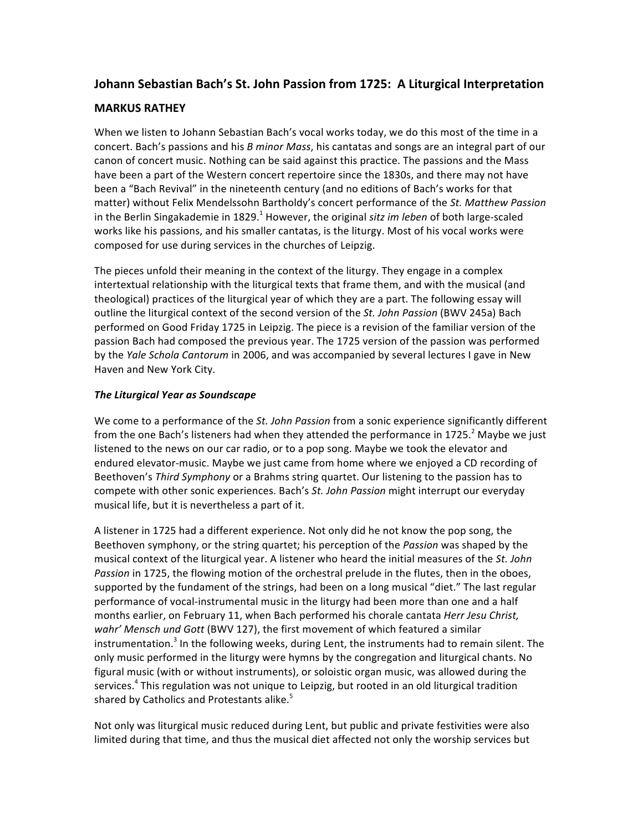# **Johann Sebastian Bach's St. John Passion from 1725: A Liturgical Interpretation**

## **MARKUS RATHEY**

When we listen to Johann Sebastian Bach's vocal works today, we do this most of the time in a concert. Bach's passions and his *B minor Mass*, his cantatas and songs are an integral part of our canon of concert music. Nothing can be said against this practice. The passions and the Mass have been a part of the Western concert repertoire since the 1830s, and there may not have been a "Bach Revival" in the nineteenth century (and no editions of Bach's works for that matter) without Felix Mendelssohn Bartholdy's concert performance of the St. Matthew Passion in the Berlin Singakademie in 1829.<sup>1</sup> However, the original *sitz im leben* of both large-scaled works like his passions, and his smaller cantatas, is the liturgy. Most of his vocal works were composed for use during services in the churches of Leipzig.

The pieces unfold their meaning in the context of the liturgy. They engage in a complex intertextual relationship with the liturgical texts that frame them, and with the musical (and theological) practices of the liturgical year of which they are a part. The following essay will outline the liturgical context of the second version of the *St. John Passion* (BWV 245a) Bach performed on Good Friday 1725 in Leipzig. The piece is a revision of the familiar version of the passion Bach had composed the previous year. The 1725 version of the passion was performed by the *Yale Schola Cantorum* in 2006, and was accompanied by several lectures I gave in New Haven and New York City.

### *The Liturgical Year as Soundscape*

We come to a performance of the *St. John Passion* from a sonic experience significantly different from the one Bach's listeners had when they attended the performance in 1725.<sup>2</sup> Maybe we just listened to the news on our car radio, or to a pop song. Maybe we took the elevator and endured elevator-music. Maybe we just came from home where we enjoyed a CD recording of Beethoven's *Third Symphony* or a Brahms string quartet. Our listening to the passion has to compete with other sonic experiences. Bach's *St. John Passion* might interrupt our everyday musical life, but it is nevertheless a part of it.

A listener in 1725 had a different experience. Not only did he not know the pop song, the Beethoven symphony, or the string quartet; his perception of the *Passion* was shaped by the musical context of the liturgical year. A listener who heard the initial measures of the *St. John* Passion in 1725, the flowing motion of the orchestral prelude in the flutes, then in the oboes, supported by the fundament of the strings, had been on a long musical "diet." The last regular performance of vocal-instrumental music in the liturgy had been more than one and a half months earlier, on February 11, when Bach performed his chorale cantata *Herr Jesu Christ*, wahr' Mensch und Gott (BWV 127), the first movement of which featured a similar instrumentation.<sup>3</sup> In the following weeks, during Lent, the instruments had to remain silent. The only music performed in the liturgy were hymns by the congregation and liturgical chants. No figural music (with or without instruments), or soloistic organ music, was allowed during the services.<sup>4</sup> This regulation was not unique to Leipzig, but rooted in an old liturgical tradition shared by Catholics and Protestants alike.<sup>5</sup>

Not only was liturgical music reduced during Lent, but public and private festivities were also limited during that time, and thus the musical diet affected not only the worship services but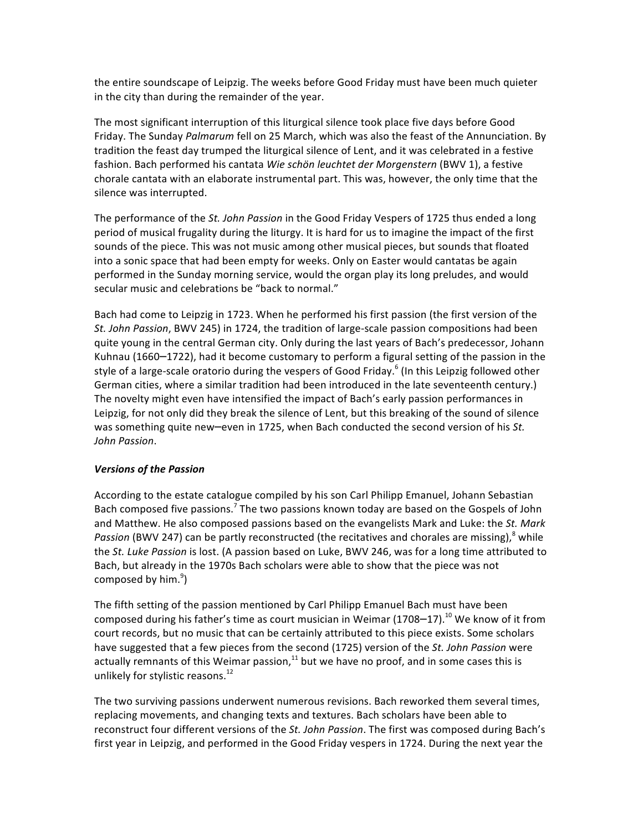the entire soundscape of Leipzig. The weeks before Good Friday must have been much quieter in the city than during the remainder of the year.

The most significant interruption of this liturgical silence took place five days before Good Friday. The Sunday *Palmarum* fell on 25 March, which was also the feast of the Annunciation. By tradition the feast day trumped the liturgical silence of Lent, and it was celebrated in a festive fashion. Bach performed his cantata *Wie schön leuchtet der Morgenstern* (BWV 1), a festive chorale cantata with an elaborate instrumental part. This was, however, the only time that the silence was interrupted.

The performance of the *St. John Passion* in the Good Friday Vespers of 1725 thus ended a long period of musical frugality during the liturgy. It is hard for us to imagine the impact of the first sounds of the piece. This was not music among other musical pieces, but sounds that floated into a sonic space that had been empty for weeks. Only on Easter would cantatas be again performed in the Sunday morning service, would the organ play its long preludes, and would secular music and celebrations be "back to normal."

Bach had come to Leipzig in 1723. When he performed his first passion (the first version of the St. John Passion, BWV 245) in 1724, the tradition of large-scale passion compositions had been quite young in the central German city. Only during the last years of Bach's predecessor, Johann Kuhnau (1660–1722), had it become customary to perform a figural setting of the passion in the style of a large-scale oratorio during the vespers of Good Friday.<sup>6</sup> (In this Leipzig followed other German cities, where a similar tradition had been introduced in the late seventeenth century.) The novelty might even have intensified the impact of Bach's early passion performances in Leipzig, for not only did they break the silence of Lent, but this breaking of the sound of silence was something quite new-even in 1725, when Bach conducted the second version of his St. *John Passion*.

#### *Versions of the Passion*

According to the estate catalogue compiled by his son Carl Philipp Emanuel, Johann Sebastian Bach composed five passions.<sup>7</sup> The two passions known today are based on the Gospels of John and Matthew. He also composed passions based on the evangelists Mark and Luke: the *St. Mark* Passion (BWV 247) can be partly reconstructed (the recitatives and chorales are missing),<sup>8</sup> while the St. Luke Passion is lost. (A passion based on Luke, BWV 246, was for a long time attributed to Bach, but already in the 1970s Bach scholars were able to show that the piece was not composed by him.<sup>9</sup>)

The fifth setting of the passion mentioned by Carl Philipp Emanuel Bach must have been composed during his father's time as court musician in Weimar (1708–17).<sup>10</sup> We know of it from court records, but no music that can be certainly attributed to this piece exists. Some scholars have suggested that a few pieces from the second (1725) version of the St. John Passion were actually remnants of this Weimar passion, $^{11}$  but we have no proof, and in some cases this is unlikely for stylistic reasons.<sup>12</sup>

The two surviving passions underwent numerous revisions. Bach reworked them several times, replacing movements, and changing texts and textures. Bach scholars have been able to reconstruct four different versions of the *St. John Passion*. The first was composed during Bach's first year in Leipzig, and performed in the Good Friday vespers in 1724. During the next year the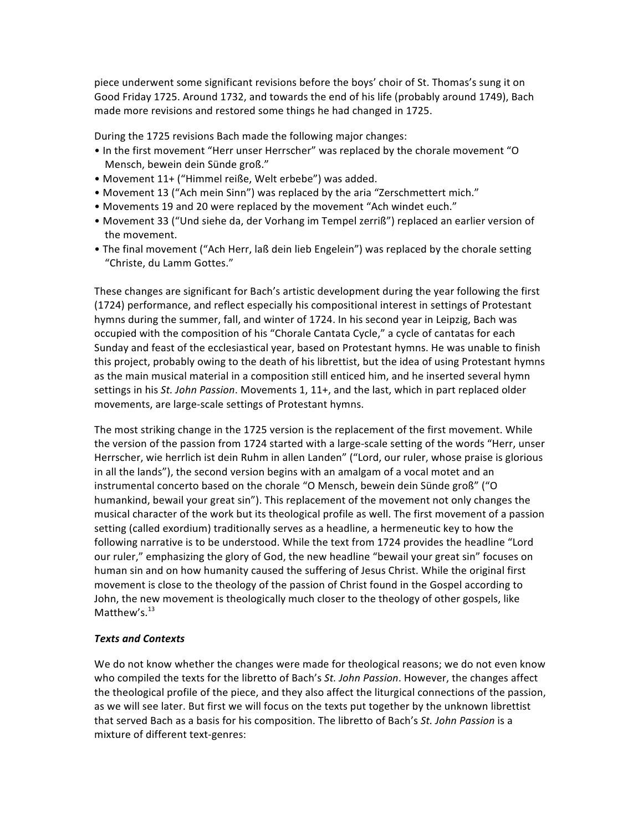piece underwent some significant revisions before the boys' choir of St. Thomas's sung it on Good Friday 1725. Around 1732, and towards the end of his life (probably around 1749), Bach made more revisions and restored some things he had changed in 1725.

During the 1725 revisions Bach made the following major changes:

- In the first movement "Herr unser Herrscher" was replaced by the chorale movement "O Mensch, bewein dein Sünde groß."
- Movement 11+ ("Himmel reiße, Welt erbebe") was added.
- Movement 13 ("Ach mein Sinn") was replaced by the aria "Zerschmettert mich."
- Movements 19 and 20 were replaced by the movement "Ach windet euch."
- Movement 33 ("Und siehe da, der Vorhang im Tempel zerriß") replaced an earlier version of the movement.
- The final movement ("Ach Herr, laß dein lieb Engelein") was replaced by the chorale setting "Christe, du Lamm Gottes."

These changes are significant for Bach's artistic development during the year following the first (1724) performance, and reflect especially his compositional interest in settings of Protestant hymns during the summer, fall, and winter of 1724. In his second year in Leipzig, Bach was occupied with the composition of his "Chorale Cantata Cycle," a cycle of cantatas for each Sunday and feast of the ecclesiastical year, based on Protestant hymns. He was unable to finish this project, probably owing to the death of his librettist, but the idea of using Protestant hymns as the main musical material in a composition still enticed him, and he inserted several hymn settings in his St. John Passion. Movements 1, 11+, and the last, which in part replaced older movements, are large-scale settings of Protestant hymns.

The most striking change in the 1725 version is the replacement of the first movement. While the version of the passion from 1724 started with a large-scale setting of the words "Herr, unser Herrscher, wie herrlich ist dein Ruhm in allen Landen" ("Lord, our ruler, whose praise is glorious in all the lands"), the second version begins with an amalgam of a vocal motet and an instrumental concerto based on the chorale "O Mensch, bewein dein Sünde groß" ("O humankind, bewail your great sin"). This replacement of the movement not only changes the musical character of the work but its theological profile as well. The first movement of a passion setting (called exordium) traditionally serves as a headline, a hermeneutic key to how the following narrative is to be understood. While the text from 1724 provides the headline "Lord our ruler," emphasizing the glory of God, the new headline "bewail your great sin" focuses on human sin and on how humanity caused the suffering of Jesus Christ. While the original first movement is close to the theology of the passion of Christ found in the Gospel according to John, the new movement is theologically much closer to the theology of other gospels, like Matthew's.<sup>13</sup>

#### *Texts and Contexts*

We do not know whether the changes were made for theological reasons; we do not even know who compiled the texts for the libretto of Bach's *St. John Passion*. However, the changes affect the theological profile of the piece, and they also affect the liturgical connections of the passion, as we will see later. But first we will focus on the texts put together by the unknown librettist that served Bach as a basis for his composition. The libretto of Bach's St. John Passion is a mixture of different text-genres: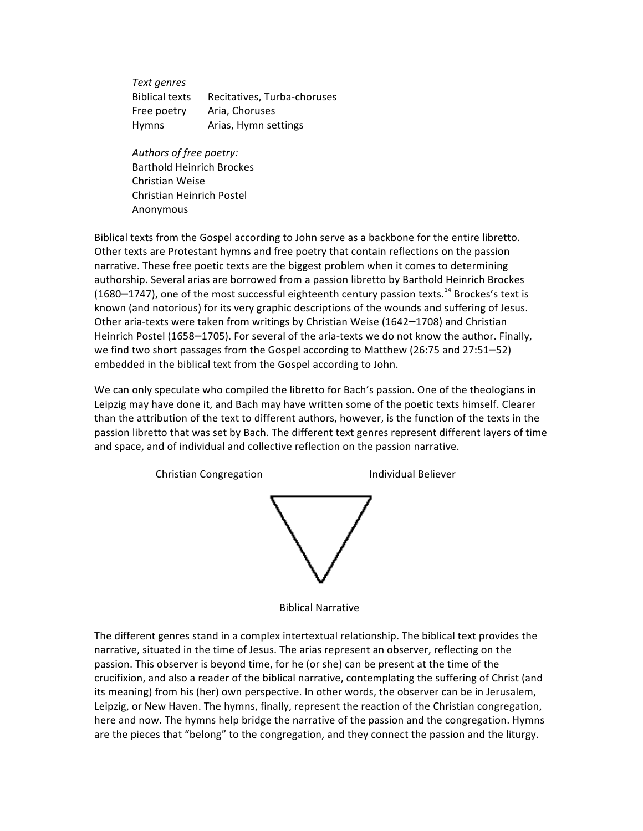*Text genres* Biblical texts Recitatives, Turba-choruses Free poetry Aria, Choruses Hymns Arias, Hymn settings

Authors of free poetry: Barthold Heinrich Brockes Christian Weise Christian Heinrich Postel Anonymous

Biblical texts from the Gospel according to John serve as a backbone for the entire libretto. Other texts are Protestant hymns and free poetry that contain reflections on the passion narrative. These free poetic texts are the biggest problem when it comes to determining authorship. Several arias are borrowed from a passion libretto by Barthold Heinrich Brockes (1680–1747), one of the most successful eighteenth century passion texts.<sup>14</sup> Brockes's text is known (and notorious) for its very graphic descriptions of the wounds and suffering of Jesus. Other aria-texts were taken from writings by Christian Weise (1642–1708) and Christian Heinrich Postel (1658–1705). For several of the aria-texts we do not know the author. Finally, we find two short passages from the Gospel according to Matthew (26:75 and 27:51–52) embedded in the biblical text from the Gospel according to John.

We can only speculate who compiled the libretto for Bach's passion. One of the theologians in Leipzig may have done it, and Bach may have written some of the poetic texts himself. Clearer than the attribution of the text to different authors, however, is the function of the texts in the passion libretto that was set by Bach. The different text genres represent different layers of time and space, and of individual and collective reflection on the passion narrative.



 Biblical Narrative

The different genres stand in a complex intertextual relationship. The biblical text provides the narrative, situated in the time of Jesus. The arias represent an observer, reflecting on the passion. This observer is beyond time, for he (or she) can be present at the time of the crucifixion, and also a reader of the biblical narrative, contemplating the suffering of Christ (and its meaning) from his (her) own perspective. In other words, the observer can be in Jerusalem, Leipzig, or New Haven. The hymns, finally, represent the reaction of the Christian congregation, here and now. The hymns help bridge the narrative of the passion and the congregation. Hymns are the pieces that "belong" to the congregation, and they connect the passion and the liturgy.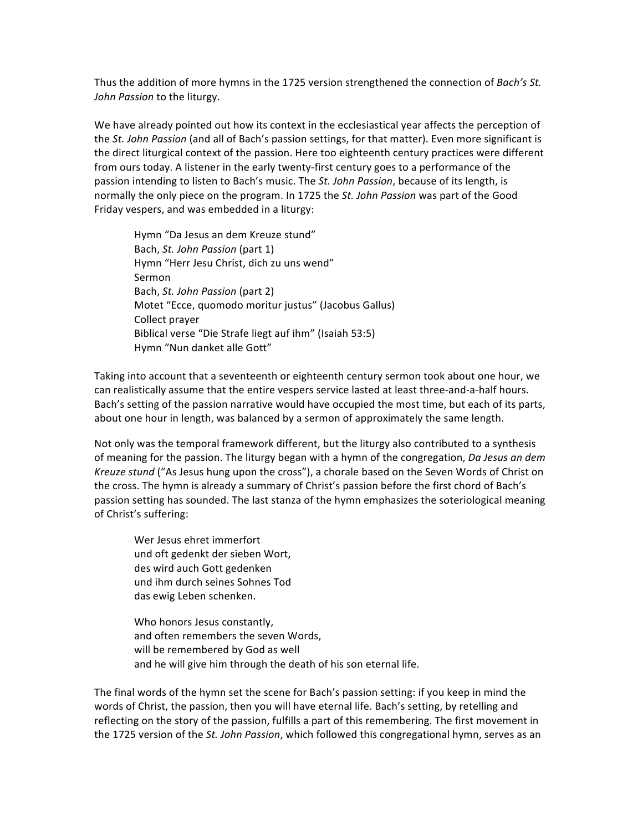Thus the addition of more hymns in the 1725 version strengthened the connection of *Bach's St.* John Passion to the liturgy.

We have already pointed out how its context in the ecclesiastical year affects the perception of the *St. John Passion* (and all of Bach's passion settings, for that matter). Even more significant is the direct liturgical context of the passion. Here too eighteenth century practices were different from ours today. A listener in the early twenty-first century goes to a performance of the passion intending to listen to Bach's music. The St. John Passion, because of its length, is normally the only piece on the program. In 1725 the St. John Passion was part of the Good Friday vespers, and was embedded in a liturgy:

Hymn "Da Jesus an dem Kreuze stund" Bach, *St. John Passion* (part 1) Hymn "Herr Jesu Christ, dich zu uns wend" Sermon Bach, *St. John Passion* (part 2) Motet "Ecce, quomodo moritur justus" (Jacobus Gallus) Collect prayer Biblical verse "Die Strafe liegt auf ihm" (Isaiah 53:5) Hymn "Nun danket alle Gott"

Taking into account that a seventeenth or eighteenth century sermon took about one hour, we can realistically assume that the entire vespers service lasted at least three-and-a-half hours. Bach's setting of the passion narrative would have occupied the most time, but each of its parts, about one hour in length, was balanced by a sermon of approximately the same length.

Not only was the temporal framework different, but the liturgy also contributed to a synthesis of meaning for the passion. The liturgy began with a hymn of the congregation, *Da Jesus an dem Kreuze stund* ("As Jesus hung upon the cross"), a chorale based on the Seven Words of Christ on the cross. The hymn is already a summary of Christ's passion before the first chord of Bach's passion setting has sounded. The last stanza of the hymn emphasizes the soteriological meaning of Christ's suffering:

Wer Jesus ehret immerfort und oft gedenkt der sieben Wort, des wird auch Gott gedenken und ihm durch seines Sohnes Tod das ewig Leben schenken.

Who honors Jesus constantly, and often remembers the seven Words, will be remembered by God as well and he will give him through the death of his son eternal life.

The final words of the hymn set the scene for Bach's passion setting: if you keep in mind the words of Christ, the passion, then you will have eternal life. Bach's setting, by retelling and reflecting on the story of the passion, fulfills a part of this remembering. The first movement in the 1725 version of the *St. John Passion*, which followed this congregational hymn, serves as an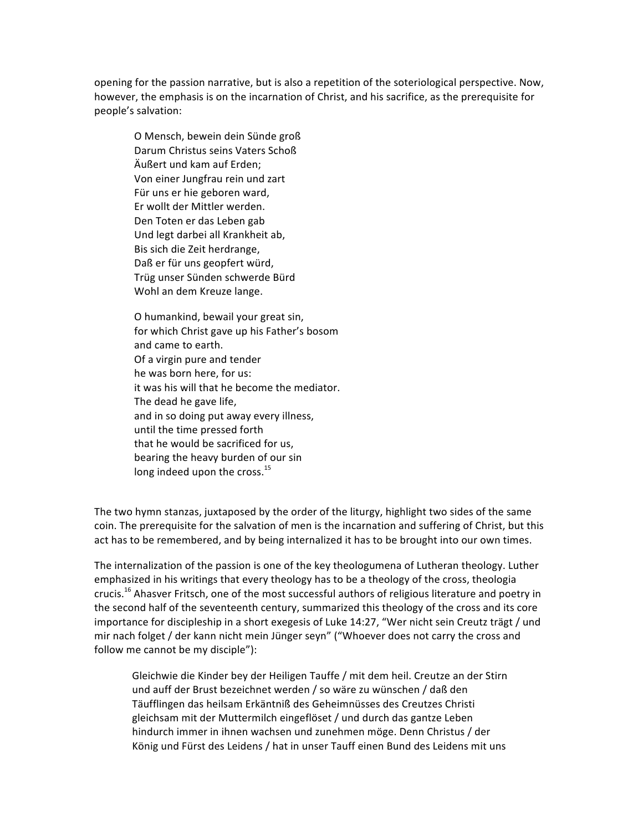opening for the passion narrative, but is also a repetition of the soteriological perspective. Now, however, the emphasis is on the incarnation of Christ, and his sacrifice, as the prerequisite for people's salvation:

O Mensch, bewein dein Sünde groß Darum Christus seins Vaters Schoß Äußert und kam auf Erden: Von einer Jungfrau rein und zart Für uns er hie geboren ward, Er wollt der Mittler werden. Den Toten er das Leben gab Und legt darbei all Krankheit ab, Bis sich die Zeit herdrange, Daß er für uns geopfert würd, Trüg unser Sünden schwerde Bürd Wohl an dem Kreuze lange.

O humankind, bewail your great sin, for which Christ gave up his Father's bosom and came to earth. Of a virgin pure and tender he was born here, for us: it was his will that he become the mediator. The dead he gave life, and in so doing put away every illness, until the time pressed forth that he would be sacrificed for us, bearing the heavy burden of our sin long indeed upon the cross. $^{15}$ 

The two hymn stanzas, juxtaposed by the order of the liturgy, highlight two sides of the same coin. The prerequisite for the salvation of men is the incarnation and suffering of Christ, but this act has to be remembered, and by being internalized it has to be brought into our own times.

The internalization of the passion is one of the key theologumena of Lutheran theology. Luther emphasized in his writings that every theology has to be a theology of the cross, theologia crucis.<sup>16</sup> Ahasver Fritsch, one of the most successful authors of religious literature and poetry in the second half of the seventeenth century, summarized this theology of the cross and its core importance for discipleship in a short exegesis of Luke 14:27, "Wer nicht sein Creutz trägt / und mir nach folget / der kann nicht mein Jünger seyn" ("Whoever does not carry the cross and follow me cannot be my disciple"):

Gleichwie die Kinder bey der Heiligen Tauffe / mit dem heil. Creutze an der Stirn und auff der Brust bezeichnet werden / so wäre zu wünschen / daß den Täufflingen das heilsam Erkäntniß des Geheimnüsses des Creutzes Christi gleichsam mit der Muttermilch eingeflöset / und durch das gantze Leben hindurch immer in ihnen wachsen und zunehmen möge. Denn Christus / der König und Fürst des Leidens / hat in unser Tauff einen Bund des Leidens mit uns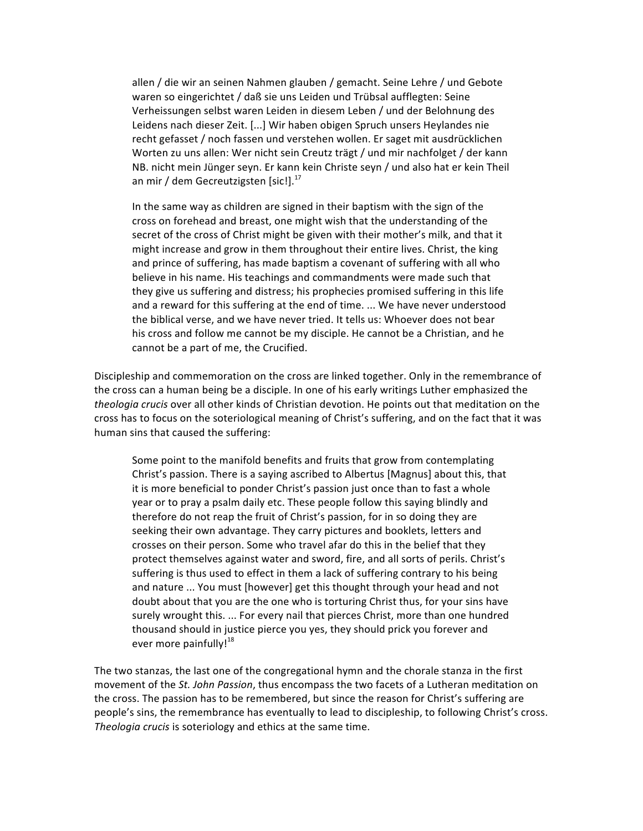allen / die wir an seinen Nahmen glauben / gemacht. Seine Lehre / und Gebote waren so eingerichtet / daß sie uns Leiden und Trübsal aufflegten: Seine Verheissungen selbst waren Leiden in diesem Leben / und der Belohnung des Leidens nach dieser Zeit. [...] Wir haben obigen Spruch unsers Heylandes nie recht gefasset / noch fassen und verstehen wollen. Er saget mit ausdrücklichen Worten zu uns allen: Wer nicht sein Creutz trägt / und mir nachfolget / der kann NB. nicht mein Jünger seyn. Er kann kein Christe seyn / und also hat er kein Theil an mir / dem Gecreutzigsten [sic!]. $^{17}$ 

In the same way as children are signed in their baptism with the sign of the cross on forehead and breast, one might wish that the understanding of the secret of the cross of Christ might be given with their mother's milk, and that it might increase and grow in them throughout their entire lives. Christ, the king and prince of suffering, has made baptism a covenant of suffering with all who believe in his name. His teachings and commandments were made such that they give us suffering and distress; his prophecies promised suffering in this life and a reward for this suffering at the end of time. ... We have never understood the biblical verse, and we have never tried. It tells us: Whoever does not bear his cross and follow me cannot be my disciple. He cannot be a Christian, and he cannot be a part of me, the Crucified.

Discipleship and commemoration on the cross are linked together. Only in the remembrance of the cross can a human being be a disciple. In one of his early writings Luther emphasized the *theologia crucis* over all other kinds of Christian devotion. He points out that meditation on the cross has to focus on the soteriological meaning of Christ's suffering, and on the fact that it was human sins that caused the suffering:

Some point to the manifold benefits and fruits that grow from contemplating Christ's passion. There is a saying ascribed to Albertus [Magnus] about this, that it is more beneficial to ponder Christ's passion just once than to fast a whole year or to pray a psalm daily etc. These people follow this saying blindly and therefore do not reap the fruit of Christ's passion, for in so doing they are seeking their own advantage. They carry pictures and booklets, letters and crosses on their person. Some who travel afar do this in the belief that they protect themselves against water and sword, fire, and all sorts of perils. Christ's suffering is thus used to effect in them a lack of suffering contrary to his being and nature ... You must [however] get this thought through your head and not doubt about that you are the one who is torturing Christ thus, for your sins have surely wrought this. ... For every nail that pierces Christ, more than one hundred thousand should in justice pierce you yes, they should prick you forever and ever more painfully! $18$ 

The two stanzas, the last one of the congregational hymn and the chorale stanza in the first movement of the *St. John Passion*, thus encompass the two facets of a Lutheran meditation on the cross. The passion has to be remembered, but since the reason for Christ's suffering are people's sins, the remembrance has eventually to lead to discipleship, to following Christ's cross. *Theologia crucis* is soteriology and ethics at the same time.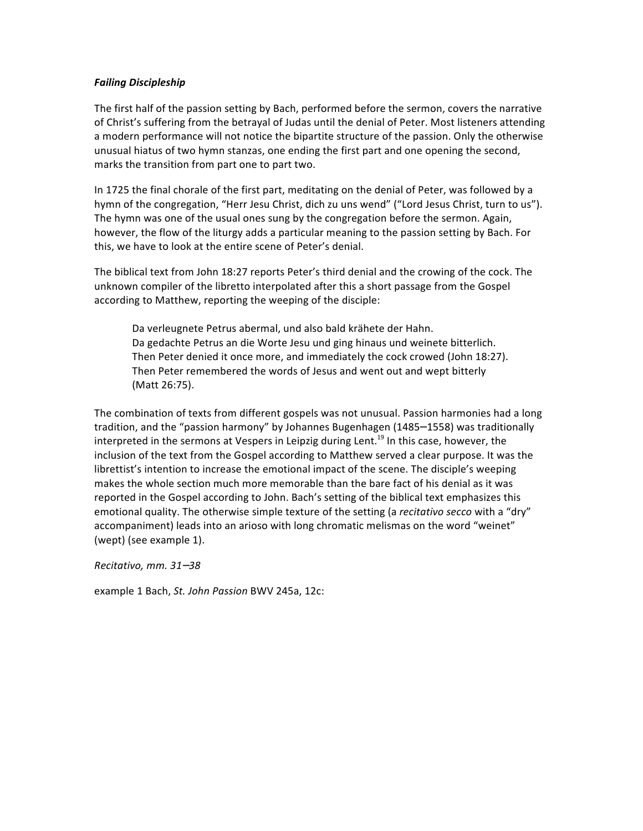#### *Failing Discipleship*

The first half of the passion setting by Bach, performed before the sermon, covers the narrative of Christ's suffering from the betrayal of Judas until the denial of Peter. Most listeners attending a modern performance will not notice the bipartite structure of the passion. Only the otherwise unusual hiatus of two hymn stanzas, one ending the first part and one opening the second, marks the transition from part one to part two.

In 1725 the final chorale of the first part, meditating on the denial of Peter, was followed by a hymn of the congregation, "Herr Jesu Christ, dich zu uns wend" ("Lord Jesus Christ, turn to us"). The hymn was one of the usual ones sung by the congregation before the sermon. Again, however, the flow of the liturgy adds a particular meaning to the passion setting by Bach. For this, we have to look at the entire scene of Peter's denial.

The biblical text from John 18:27 reports Peter's third denial and the crowing of the cock. The unknown compiler of the libretto interpolated after this a short passage from the Gospel according to Matthew, reporting the weeping of the disciple:

Da verleugnete Petrus abermal, und also bald krähete der Hahn. Da gedachte Petrus an die Worte Jesu und ging hinaus und weinete bitterlich. Then Peter denied it once more, and immediately the cock crowed (John 18:27). Then Peter remembered the words of Jesus and went out and wept bitterly (Matt 26:75).

The combination of texts from different gospels was not unusual. Passion harmonies had a long tradition, and the "passion harmony" by Johannes Bugenhagen (1485–1558) was traditionally interpreted in the sermons at Vespers in Leipzig during Lent.<sup>19</sup> In this case, however, the inclusion of the text from the Gospel according to Matthew served a clear purpose. It was the librettist's intention to increase the emotional impact of the scene. The disciple's weeping makes the whole section much more memorable than the bare fact of his denial as it was reported in the Gospel according to John. Bach's setting of the biblical text emphasizes this emotional quality. The otherwise simple texture of the setting (a *recitativo secco* with a "dry" accompaniment) leads into an arioso with long chromatic melismas on the word "weinet" (wept) (see example 1).

*Recitativo, mm. 31*–*38*

example 1 Bach, *St. John Passion* BWV 245a, 12c: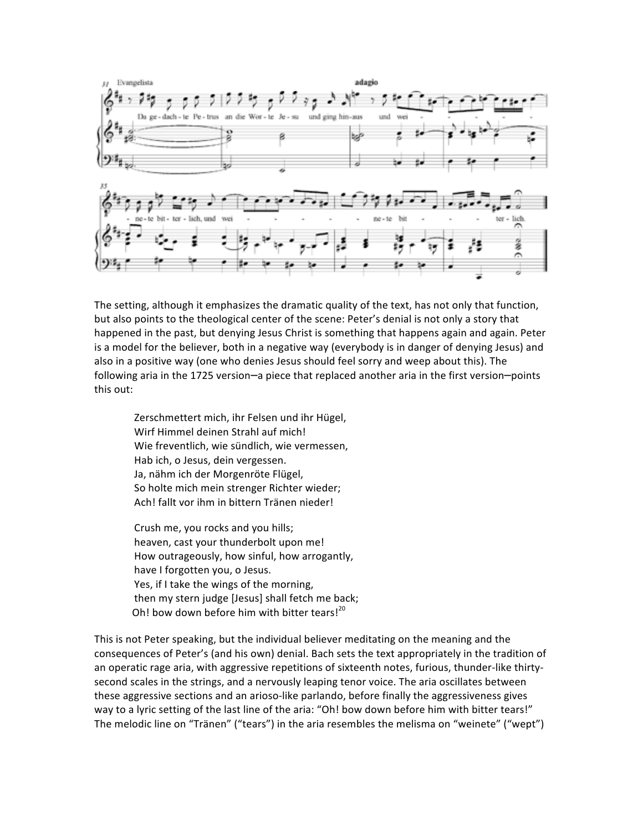

The setting, although it emphasizes the dramatic quality of the text, has not only that function, but also points to the theological center of the scene: Peter's denial is not only a story that happened in the past, but denying Jesus Christ is something that happens again and again. Peter is a model for the believer, both in a negative way (everybody is in danger of denying Jesus) and also in a positive way (one who denies Jesus should feel sorry and weep about this). The following aria in the 1725 version—a piece that replaced another aria in the first version—points this out:

Zerschmettert mich, ihr Felsen und ihr Hügel, Wirf Himmel deinen Strahl auf mich! Wie freventlich, wie sündlich, wie vermessen, Hab ich, o Jesus, dein vergessen. Ja, nähm ich der Morgenröte Flügel, So holte mich mein strenger Richter wieder; Ach! fallt vor ihm in bittern Tränen nieder!

Crush me, you rocks and you hills; heaven, cast your thunderbolt upon me! How outrageously, how sinful, how arrogantly, have I forgotten you, o Jesus. Yes, if I take the wings of the morning, then my stern judge [Jesus] shall fetch me back; Oh! bow down before him with bitter tears! $^{20}$ 

This is not Peter speaking, but the individual believer meditating on the meaning and the consequences of Peter's (and his own) denial. Bach sets the text appropriately in the tradition of an operatic rage aria, with aggressive repetitions of sixteenth notes, furious, thunder-like thirtysecond scales in the strings, and a nervously leaping tenor voice. The aria oscillates between these aggressive sections and an arioso-like parlando, before finally the aggressiveness gives way to a lyric setting of the last line of the aria: "Oh! bow down before him with bitter tears!" The melodic line on "Tränen" ("tears") in the aria resembles the melisma on "weinete" ("wept")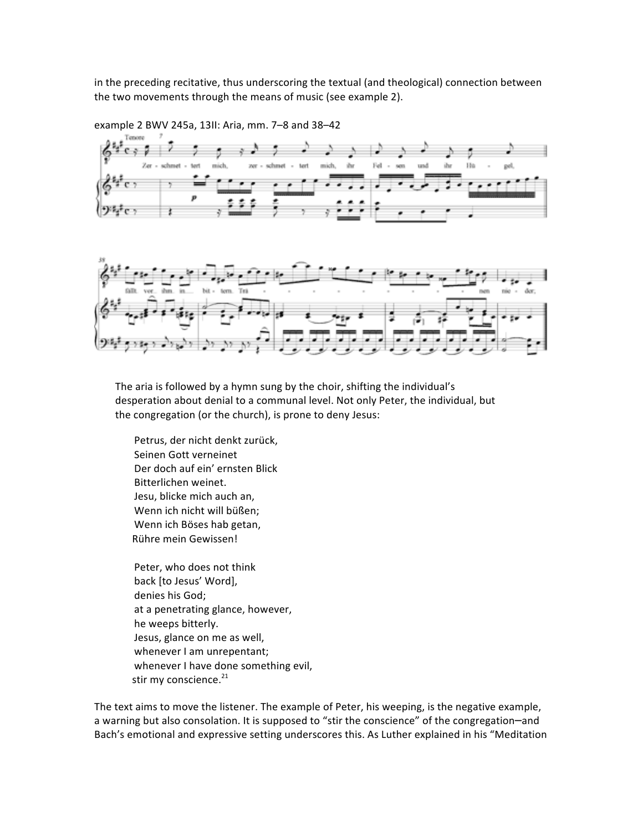in the preceding recitative, thus underscoring the textual (and theological) connection between the two movements through the means of music (see example 2).



example 2 BWV 245a, 13II: Aria, mm. 7-8 and 38-42



The aria is followed by a hymn sung by the choir, shifting the individual's desperation about denial to a communal level. Not only Peter, the individual, but the congregation (or the church), is prone to deny Jesus:

Petrus, der nicht denkt zurück, Seinen Gott verneinet Der doch auf ein' ernsten Blick Bitterlichen weinet. Jesu, blicke mich auch an, Wenn ich nicht will büßen; Wenn ich Böses hab getan, Rühre mein Gewissen!

Peter, who does not think back [to Jesus' Word], denies his God; at a penetrating glance, however, he weeps bitterly. Jesus, glance on me as well, whenever I am unrepentant; whenever I have done something evil, stir my conscience.<sup>21</sup>

The text aims to move the listener. The example of Peter, his weeping, is the negative example, a warning but also consolation. It is supposed to "stir the conscience" of the congregation-and Bach's emotional and expressive setting underscores this. As Luther explained in his "Meditation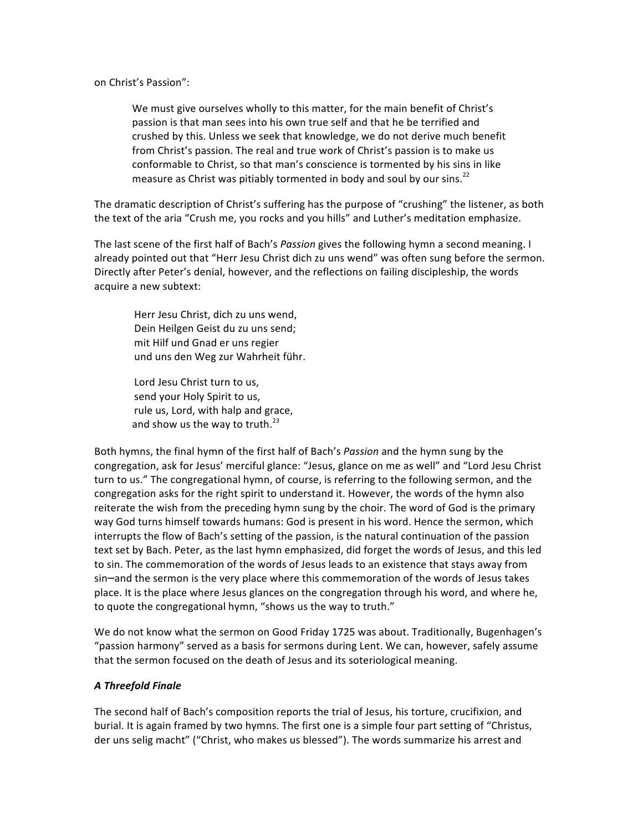on Christ's Passion":

We must give ourselves wholly to this matter, for the main benefit of Christ's passion is that man sees into his own true self and that he be terrified and crushed by this. Unless we seek that knowledge, we do not derive much benefit from Christ's passion. The real and true work of Christ's passion is to make us conformable to Christ, so that man's conscience is tormented by his sins in like measure as Christ was pitiably tormented in body and soul by our sins. $^{22}$ 

The dramatic description of Christ's suffering has the purpose of "crushing" the listener, as both the text of the aria "Crush me, you rocks and you hills" and Luther's meditation emphasize.

The last scene of the first half of Bach's *Passion* gives the following hymn a second meaning. I already pointed out that "Herr Jesu Christ dich zu uns wend" was often sung before the sermon. Directly after Peter's denial, however, and the reflections on failing discipleship, the words acquire a new subtext:

Herr Jesu Christ, dich zu uns wend, Dein Heilgen Geist du zu uns send; mit Hilf und Gnad er uns regier und uns den Weg zur Wahrheit führ.

Lord Jesu Christ turn to us, send your Holy Spirit to us, rule us, Lord, with halp and grace, and show us the way to truth. $^{23}$ 

Both hymns, the final hymn of the first half of Bach's *Passion* and the hymn sung by the congregation, ask for Jesus' merciful glance: "Jesus, glance on me as well" and "Lord Jesu Christ turn to us." The congregational hymn, of course, is referring to the following sermon, and the congregation asks for the right spirit to understand it. However, the words of the hymn also reiterate the wish from the preceding hymn sung by the choir. The word of God is the primary way God turns himself towards humans: God is present in his word. Hence the sermon, which interrupts the flow of Bach's setting of the passion, is the natural continuation of the passion text set by Bach. Peter, as the last hymn emphasized, did forget the words of Jesus, and this led to sin. The commemoration of the words of Jesus leads to an existence that stays away from sin—and the sermon is the very place where this commemoration of the words of Jesus takes place. It is the place where Jesus glances on the congregation through his word, and where he, to quote the congregational hymn, "shows us the way to truth."

We do not know what the sermon on Good Friday 1725 was about. Traditionally, Bugenhagen's "passion harmony" served as a basis for sermons during Lent. We can, however, safely assume that the sermon focused on the death of Jesus and its soteriological meaning.

#### *A Threefold Finale*

The second half of Bach's composition reports the trial of Jesus, his torture, crucifixion, and burial. It is again framed by two hymns. The first one is a simple four part setting of "Christus, der uns selig macht" ("Christ, who makes us blessed"). The words summarize his arrest and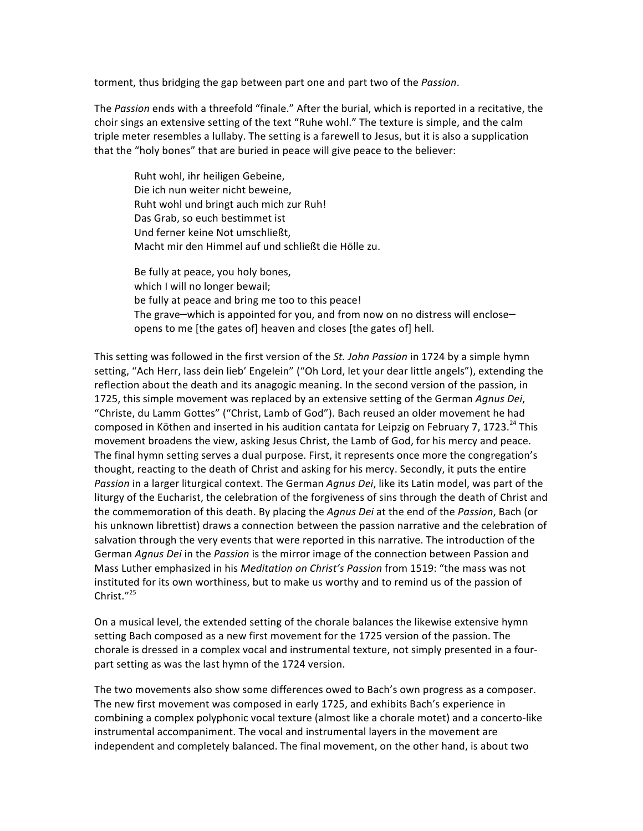torment, thus bridging the gap between part one and part two of the *Passion*.

The *Passion* ends with a threefold "finale." After the burial, which is reported in a recitative, the choir sings an extensive setting of the text "Ruhe wohl." The texture is simple, and the calm triple meter resembles a lullaby. The setting is a farewell to Jesus, but it is also a supplication that the "holy bones" that are buried in peace will give peace to the believer:

Ruht wohl, ihr heiligen Gebeine, Die ich nun weiter nicht beweine, Ruht wohl und bringt auch mich zur Ruh! Das Grab, so euch bestimmet ist Und ferner keine Not umschließt. Macht mir den Himmel auf und schließt die Hölle zu.

Be fully at peace, you holy bones, which I will no longer bewail; be fully at peace and bring me too to this peace! The grave—which is appointed for you, and from now on no distress will enclose opens to me [the gates of] heaven and closes [the gates of] hell.

This setting was followed in the first version of the *St. John Passion* in 1724 by a simple hymn setting, "Ach Herr, lass dein lieb' Engelein" ("Oh Lord, let your dear little angels"), extending the reflection about the death and its anagogic meaning. In the second version of the passion, in 1725, this simple movement was replaced by an extensive setting of the German *Agnus Dei*, "Christe, du Lamm Gottes" ("Christ, Lamb of God"). Bach reused an older movement he had composed in Köthen and inserted in his audition cantata for Leipzig on February 7, 1723.<sup>24</sup> This movement broadens the view, asking Jesus Christ, the Lamb of God, for his mercy and peace. The final hymn setting serves a dual purpose. First, it represents once more the congregation's thought, reacting to the death of Christ and asking for his mercy. Secondly, it puts the entire Passion in a larger liturgical context. The German *Agnus Dei*, like its Latin model, was part of the liturgy of the Eucharist, the celebration of the forgiveness of sins through the death of Christ and the commemoration of this death. By placing the *Agnus Dei* at the end of the *Passion*, Bach (or his unknown librettist) draws a connection between the passion narrative and the celebration of salvation through the very events that were reported in this narrative. The introduction of the German *Agnus Dei* in the *Passion* is the mirror image of the connection between Passion and Mass Luther emphasized in his *Meditation on Christ's Passion* from 1519: "the mass was not instituted for its own worthiness, but to make us worthy and to remind us of the passion of Christ."<sup>25</sup>

On a musical level, the extended setting of the chorale balances the likewise extensive hymn setting Bach composed as a new first movement for the 1725 version of the passion. The chorale is dressed in a complex vocal and instrumental texture, not simply presented in a fourpart setting as was the last hymn of the 1724 version.

The two movements also show some differences owed to Bach's own progress as a composer. The new first movement was composed in early 1725, and exhibits Bach's experience in combining a complex polyphonic vocal texture (almost like a chorale motet) and a concerto-like instrumental accompaniment. The vocal and instrumental layers in the movement are independent and completely balanced. The final movement, on the other hand, is about two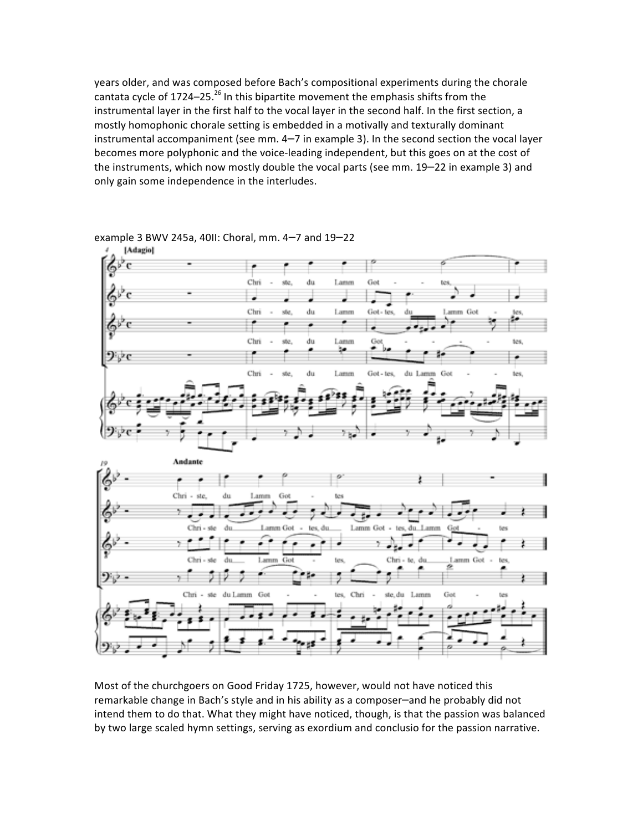years older, and was composed before Bach's compositional experiments during the chorale cantata cycle of 1724–25.<sup>26</sup> In this bipartite movement the emphasis shifts from the instrumental layer in the first half to the vocal layer in the second half. In the first section, a mostly homophonic chorale setting is embedded in a motivally and texturally dominant instrumental accompaniment (see mm.  $4-7$  in example 3). In the second section the vocal layer becomes more polyphonic and the voice-leading independent, but this goes on at the cost of the instruments, which now mostly double the vocal parts (see mm. 19-22 in example 3) and only gain some independence in the interludes.



example  $3$  BWV 245a, 40II: Choral, mm. 4-7 and  $19-22$ 

Most of the churchgoers on Good Friday 1725, however, would not have noticed this remarkable change in Bach's style and in his ability as a composer—and he probably did not intend them to do that. What they might have noticed, though, is that the passion was balanced by two large scaled hymn settings, serving as exordium and conclusio for the passion narrative.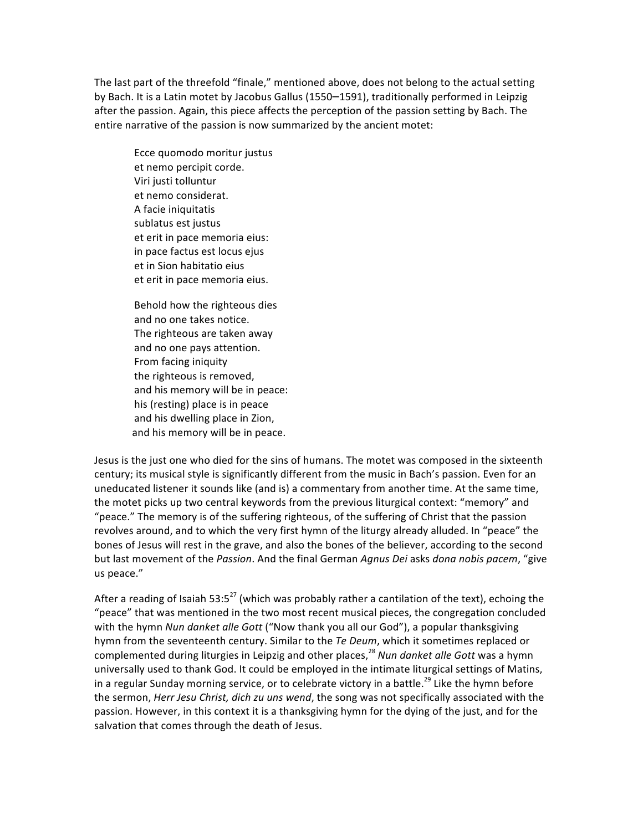The last part of the threefold "finale," mentioned above, does not belong to the actual setting by Bach. It is a Latin motet by Jacobus Gallus (1550–1591), traditionally performed in Leipzig after the passion. Again, this piece affects the perception of the passion setting by Bach. The entire narrative of the passion is now summarized by the ancient motet:

Ecce quomodo moritur justus et nemo percipit corde. Viri justi tolluntur et nemo considerat. A facie iniquitatis sublatus est justus et erit in pace memoria eius: in pace factus est locus ejus et in Sion habitatio eius et erit in pace memoria eius.

Behold how the righteous dies and no one takes notice. The righteous are taken away and no one pays attention. From facing iniquity the righteous is removed, and his memory will be in peace: his (resting) place is in peace and his dwelling place in Zion, and his memory will be in peace.

Jesus is the just one who died for the sins of humans. The motet was composed in the sixteenth century; its musical style is significantly different from the music in Bach's passion. Even for an uneducated listener it sounds like (and is) a commentary from another time. At the same time, the motet picks up two central keywords from the previous liturgical context: "memory" and "peace." The memory is of the suffering righteous, of the suffering of Christ that the passion revolves around, and to which the very first hymn of the liturgy already alluded. In "peace" the bones of Jesus will rest in the grave, and also the bones of the believer, according to the second but last movement of the Passion. And the final German Agnus Dei asks dona nobis pacem, "give us peace."

After a reading of Isaiah 53:5<sup>27</sup> (which was probably rather a cantilation of the text), echoing the "peace" that was mentioned in the two most recent musical pieces, the congregation concluded with the hymn *Nun danket alle Gott* ("Now thank you all our God"), a popular thanksgiving hymn from the seventeenth century. Similar to the *Te Deum*, which it sometimes replaced or complemented during liturgies in Leipzig and other places,<sup>28</sup> *Nun danket alle Gott* was a hymn universally used to thank God. It could be employed in the intimate liturgical settings of Matins, in a regular Sunday morning service, or to celebrate victory in a battle.<sup>29</sup> Like the hymn before the sermon, *Herr Jesu Christ, dich zu uns wend*, the song was not specifically associated with the passion. However, in this context it is a thanksgiving hymn for the dying of the just, and for the salvation that comes through the death of Jesus.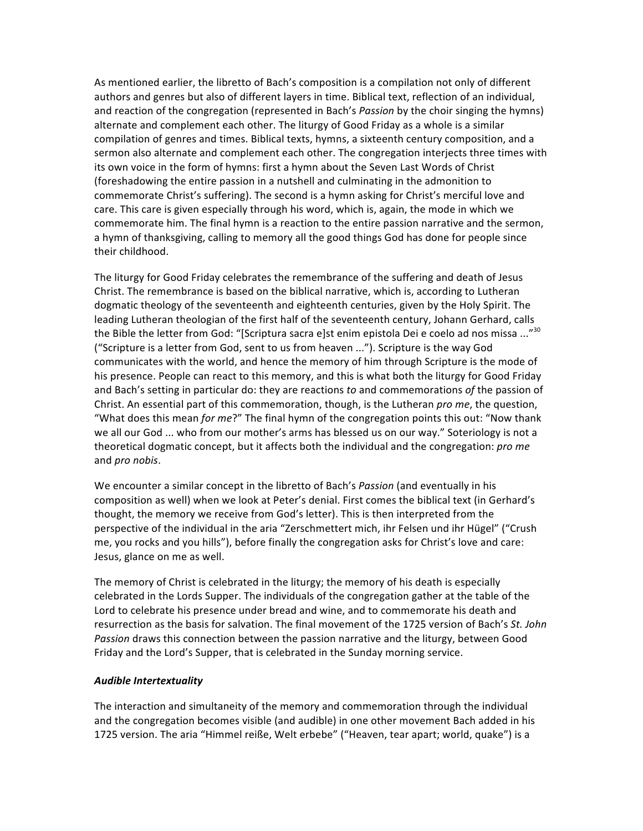As mentioned earlier, the libretto of Bach's composition is a compilation not only of different authors and genres but also of different layers in time. Biblical text, reflection of an individual, and reaction of the congregation (represented in Bach's *Passion* by the choir singing the hymns) alternate and complement each other. The liturgy of Good Friday as a whole is a similar compilation of genres and times. Biblical texts, hymns, a sixteenth century composition, and a sermon also alternate and complement each other. The congregation interjects three times with its own voice in the form of hymns: first a hymn about the Seven Last Words of Christ (foreshadowing the entire passion in a nutshell and culminating in the admonition to commemorate Christ's suffering). The second is a hymn asking for Christ's merciful love and care. This care is given especially through his word, which is, again, the mode in which we commemorate him. The final hymn is a reaction to the entire passion narrative and the sermon, a hymn of thanksgiving, calling to memory all the good things God has done for people since their childhood.

The liturgy for Good Friday celebrates the remembrance of the suffering and death of Jesus Christ. The remembrance is based on the biblical narrative, which is, according to Lutheran dogmatic theology of the seventeenth and eighteenth centuries, given by the Holy Spirit. The leading Lutheran theologian of the first half of the seventeenth century, Johann Gerhard, calls the Bible the letter from God: "[Scriptura sacra e]st enim epistola Dei e coelo ad nos missa ..."<sup>30</sup> ("Scripture is a letter from God, sent to us from heaven ..."). Scripture is the way God communicates with the world, and hence the memory of him through Scripture is the mode of his presence. People can react to this memory, and this is what both the liturgy for Good Friday and Bach's setting in particular do: they are reactions to and commemorations of the passion of Christ. An essential part of this commemoration, though, is the Lutheran *pro me*, the question, "What does this mean *for me*?" The final hymn of the congregation points this out: "Now thank we all our God ... who from our mother's arms has blessed us on our way." Soteriology is not a theoretical dogmatic concept, but it affects both the individual and the congregation: *pro me* and *pro nobis*.

We encounter a similar concept in the libretto of Bach's Passion (and eventually in his composition as well) when we look at Peter's denial. First comes the biblical text (in Gerhard's thought, the memory we receive from God's letter). This is then interpreted from the perspective of the individual in the aria "Zerschmettert mich, ihr Felsen und ihr Hügel" ("Crush me, you rocks and you hills"), before finally the congregation asks for Christ's love and care: Jesus, glance on me as well.

The memory of Christ is celebrated in the liturgy; the memory of his death is especially celebrated in the Lords Supper. The individuals of the congregation gather at the table of the Lord to celebrate his presence under bread and wine, and to commemorate his death and resurrection as the basis for salvation. The final movement of the 1725 version of Bach's *St. John* Passion draws this connection between the passion narrative and the liturgy, between Good Friday and the Lord's Supper, that is celebrated in the Sunday morning service.

#### *Audible Intertextuality*

The interaction and simultaneity of the memory and commemoration through the individual and the congregation becomes visible (and audible) in one other movement Bach added in his 1725 version. The aria "Himmel reiße, Welt erbebe" ("Heaven, tear apart; world, quake") is a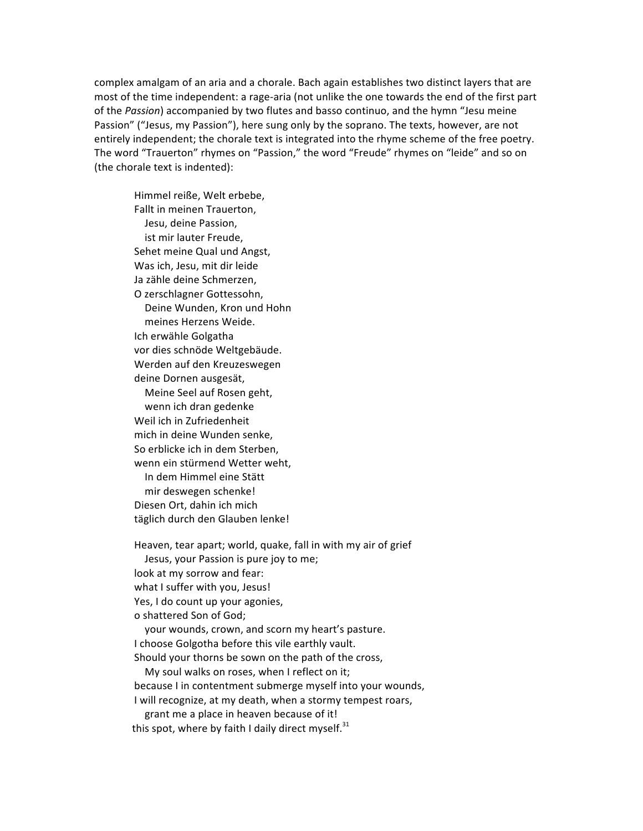complex amalgam of an aria and a chorale. Bach again establishes two distinct layers that are most of the time independent: a rage-aria (not unlike the one towards the end of the first part of the *Passion*) accompanied by two flutes and basso continuo, and the hymn "Jesu meine Passion" ("Jesus, my Passion"), here sung only by the soprano. The texts, however, are not entirely independent; the chorale text is integrated into the rhyme scheme of the free poetry. The word "Trauerton" rhymes on "Passion," the word "Freude" rhymes on "leide" and so on (the chorale text is indented):

Himmel reiße, Welt erbebe, Fallt in meinen Trauerton. Jesu, deine Passion, ist mir lauter Freude, Sehet meine Qual und Angst, Was ich, Jesu, mit dir leide Ja zähle deine Schmerzen, O zerschlagner Gottessohn, Deine Wunden, Kron und Hohn meines Herzens Weide. Ich erwähle Golgatha vor dies schnöde Weltgebäude. Werden auf den Kreuzeswegen deine Dornen ausgesät, Meine Seel auf Rosen geht, wenn ich dran gedenke Weil ich in Zufriedenheit mich in deine Wunden senke. So erblicke ich in dem Sterben. wenn ein stürmend Wetter weht. In dem Himmel eine Stätt mir deswegen schenke! Diesen Ort, dahin ich mich täglich durch den Glauben lenke!

Heaven, tear apart; world, quake, fall in with my air of grief Jesus, your Passion is pure joy to me; look at my sorrow and fear: what I suffer with you, Jesus! Yes, I do count up your agonies, o shattered Son of God; your wounds, crown, and scorn my heart's pasture. I choose Golgotha before this vile earthly vault. Should your thorns be sown on the path of the cross, My soul walks on roses, when I reflect on it; because I in contentment submerge myself into your wounds, I will recognize, at my death, when a stormy tempest roars, grant me a place in heaven because of it! this spot, where by faith I daily direct myself. $31$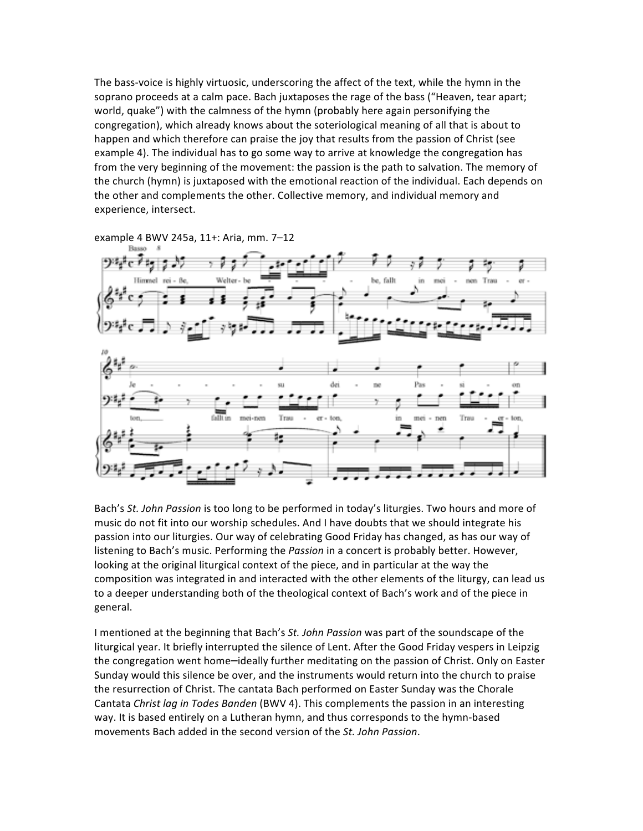The bass-voice is highly virtuosic, underscoring the affect of the text, while the hymn in the soprano proceeds at a calm pace. Bach juxtaposes the rage of the bass ("Heaven, tear apart; world, quake") with the calmness of the hymn (probably here again personifying the congregation), which already knows about the soteriological meaning of all that is about to happen and which therefore can praise the joy that results from the passion of Christ (see example 4). The individual has to go some way to arrive at knowledge the congregation has from the very beginning of the movement: the passion is the path to salvation. The memory of the church (hymn) is juxtaposed with the emotional reaction of the individual. Each depends on the other and complements the other. Collective memory, and individual memory and experience, intersect.



example 4 BWV 245a, 11+: Aria, mm. 7-12

Bach's St. John Passion is too long to be performed in today's liturgies. Two hours and more of music do not fit into our worship schedules. And I have doubts that we should integrate his passion into our liturgies. Our way of celebrating Good Friday has changed, as has our way of listening to Bach's music. Performing the *Passion* in a concert is probably better. However, looking at the original liturgical context of the piece, and in particular at the way the composition was integrated in and interacted with the other elements of the liturgy, can lead us to a deeper understanding both of the theological context of Bach's work and of the piece in general.

I mentioned at the beginning that Bach's *St. John Passion* was part of the soundscape of the liturgical year. It briefly interrupted the silence of Lent. After the Good Friday vespers in Leipzig the congregation went home—ideally further meditating on the passion of Christ. Only on Easter Sunday would this silence be over, and the instruments would return into the church to praise the resurrection of Christ. The cantata Bach performed on Easter Sunday was the Chorale Cantata *Christ lag in Todes Banden* (BWV 4). This complements the passion in an interesting way. It is based entirely on a Lutheran hymn, and thus corresponds to the hymn-based movements Bach added in the second version of the St. John Passion.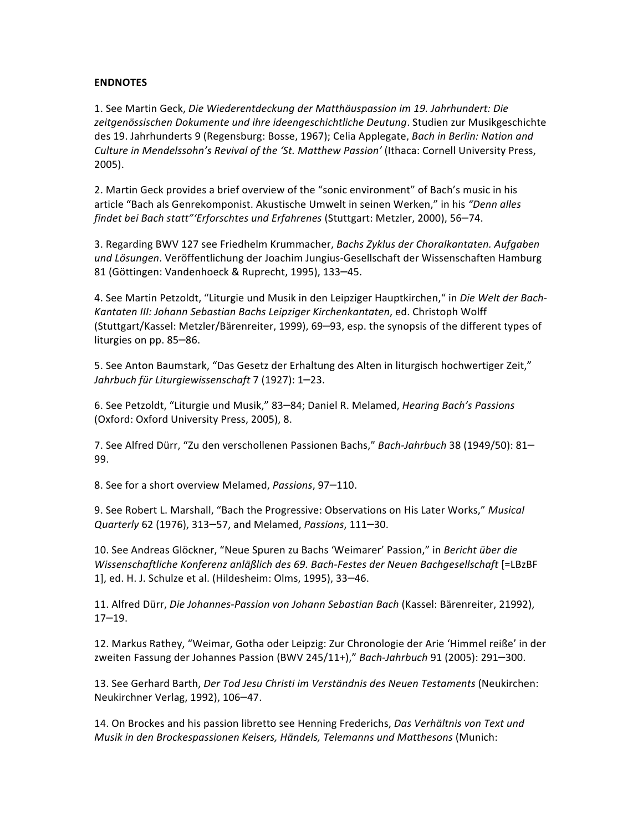#### **ENDNOTES**

1. See Martin Geck, *Die Wiederentdeckung der Matthäuspassion im 19. Jahrhundert: Die* zeitgenössischen Dokumente und ihre ideengeschichtliche Deutung. Studien zur Musikgeschichte des 19. Jahrhunderts 9 (Regensburg: Bosse, 1967); Celia Applegate, *Bach in Berlin: Nation and* Culture in Mendelssohn's Revival of the 'St. Matthew Passion' (Ithaca: Cornell University Press, 2005).

2. Martin Geck provides a brief overview of the "sonic environment" of Bach's music in his article "Bach als Genrekomponist. Akustische Umwelt in seinen Werken," in his "Denn alles *findet bei Bach statt"'Erforschtes und Erfahrenes* (Stuttgart: Metzler, 2000), 56-74.

3. Regarding BWV 127 see Friedhelm Krummacher, *Bachs Zyklus der Choralkantaten. Aufgaben* und Lösungen. Veröffentlichung der Joachim Jungius-Gesellschaft der Wissenschaften Hamburg 81 (Göttingen: Vandenhoeck & Ruprecht, 1995), 133-45.

4. See Martin Petzoldt, "Liturgie und Musik in den Leipziger Hauptkirchen," in *Die Welt der Bach-*Kantaten III: Johann Sebastian Bachs Leipziger Kirchenkantaten, ed. Christoph Wolff (Stuttgart/Kassel: Metzler/Bärenreiter, 1999), 69-93, esp. the synopsis of the different types of liturgies on pp. 85-86.

5. See Anton Baumstark, "Das Gesetz der Erhaltung des Alten in liturgisch hochwertiger Zeit," *Jahrbuch für Liturgiewissenschaft* 7 (1927): 1–23.

6. See Petzoldt, "Liturgie und Musik," 83–84; Daniel R. Melamed, *Hearing Bach's Passions* (Oxford: Oxford University Press, 2005), 8.

7. See Alfred Dürr, "Zu den verschollenen Passionen Bachs," Bach-Jahrbuch 38 (1949/50): 81-99.

8. See for a short overview Melamed, *Passions*, 97-110.

9. See Robert L. Marshall, "Bach the Progressive: Observations on His Later Works," Musical *Quarterly* 62 (1976), 313–57, and Melamed, *Passions*, 111–30.

10. See Andreas Glöckner, "Neue Spuren zu Bachs 'Weimarer' Passion," in *Bericht über die Wissenschaftliche Konferenz anläßlich des 69. Bach-Festes der Neuen Bachgesellschaft* [=LBzBF 1], ed. H. J. Schulze et al. (Hildesheim: Olms, 1995), 33–46.

11. Alfred Dürr, *Die Johannes-Passion von Johann Sebastian Bach* (Kassel: Bärenreiter, 21992), 17–19.

12. Markus Rathey, "Weimar, Gotha oder Leipzig: Zur Chronologie der Arie 'Himmel reiße' in der zweiten Fassung der Johannes Passion (BWV 245/11+)," Bach-Jahrbuch 91 (2005): 291–300.

13. See Gerhard Barth, *Der Tod Jesu Christi im Verständnis des Neuen Testaments* (Neukirchen: Neukirchner Verlag, 1992), 106-47.

14. On Brockes and his passion libretto see Henning Frederichs, Das Verhältnis von Text und *Musik in den Brockespassionen Keisers, Händels, Telemanns und Matthesons* (Munich: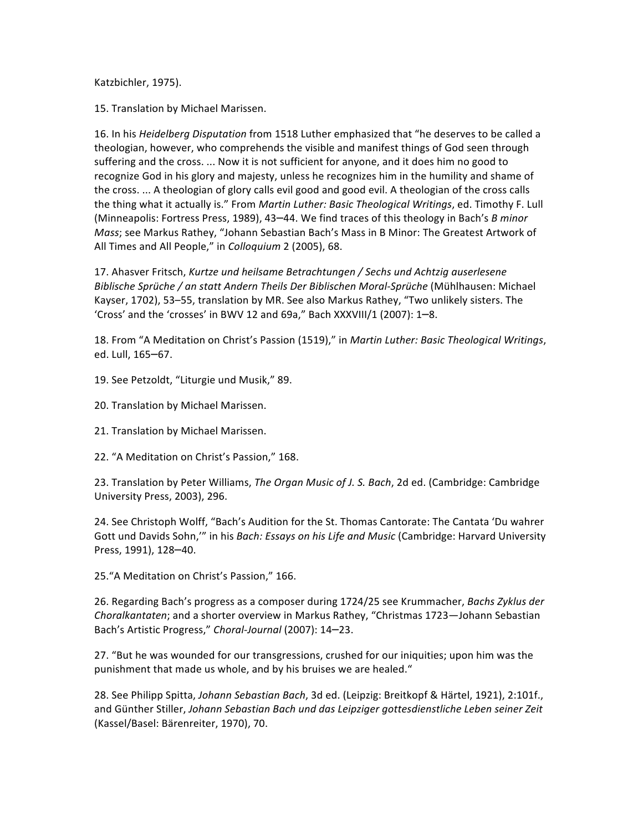Katzbichler, 1975).

15. Translation by Michael Marissen.

16. In his *Heidelberg Disputation* from 1518 Luther emphasized that "he deserves to be called a theologian, however, who comprehends the visible and manifest things of God seen through suffering and the cross. ... Now it is not sufficient for anyone, and it does him no good to recognize God in his glory and majesty, unless he recognizes him in the humility and shame of the cross. ... A theologian of glory calls evil good and good evil. A theologian of the cross calls the thing what it actually is." From *Martin Luther: Basic Theological Writings*, ed. Timothy F. Lull (Minneapolis: Fortress Press, 1989), 43-44. We find traces of this theology in Bach's *B minor Mass*; see Markus Rathey, "Johann Sebastian Bach's Mass in B Minor: The Greatest Artwork of All Times and All People," in *Colloquium* 2 (2005), 68.

17. Ahasver Fritsch, *Kurtze und heilsame Betrachtungen* / Sechs und Achtzig auserlesene *Biblische Sprüche / an statt Andern Theils Der Biblischen Moral-Sprüche* (Mühlhausen: Michael Kayser, 1702), 53-55, translation by MR. See also Markus Rathey, "Two unlikely sisters. The 'Cross' and the 'crosses' in BWV 12 and 69a," Bach XXXVIII/1 (2007): 1-8.

18. From "A Meditation on Christ's Passion (1519)," in *Martin Luther: Basic Theological Writings*, ed. Lull, 165–67.

- 19. See Petzoldt, "Liturgie und Musik," 89.
- 20. Translation by Michael Marissen.
- 21. Translation by Michael Marissen.
- 22. "A Meditation on Christ's Passion," 168.

23. Translation by Peter Williams, *The Organ Music of J. S. Bach*, 2d ed. (Cambridge: Cambridge University Press, 2003), 296.

24. See Christoph Wolff, "Bach's Audition for the St. Thomas Cantorate: The Cantata 'Du wahrer Gott und Davids Sohn,"" in his Bach: Essays on his Life and Music (Cambridge: Harvard University Press, 1991), 128-40.

25. "A Meditation on Christ's Passion," 166.

26. Regarding Bach's progress as a composer during 1724/25 see Krummacher, *Bachs Zyklus der Choralkantaten*; and a shorter overview in Markus Rathey, "Christmas 1723—Johann Sebastian Bach's Artistic Progress," Choral-Journal (2007): 14-23.

27. "But he was wounded for our transgressions, crushed for our iniquities; upon him was the punishment that made us whole, and by his bruises we are healed."

28. See Philipp Spitta, *Johann Sebastian Bach*, 3d ed. (Leipzig: Breitkopf & Härtel, 1921), 2:101f., and Günther Stiller, Johann Sebastian Bach und das Leipziger gottesdienstliche Leben seiner Zeit (Kassel/Basel: Bärenreiter, 1970), 70.